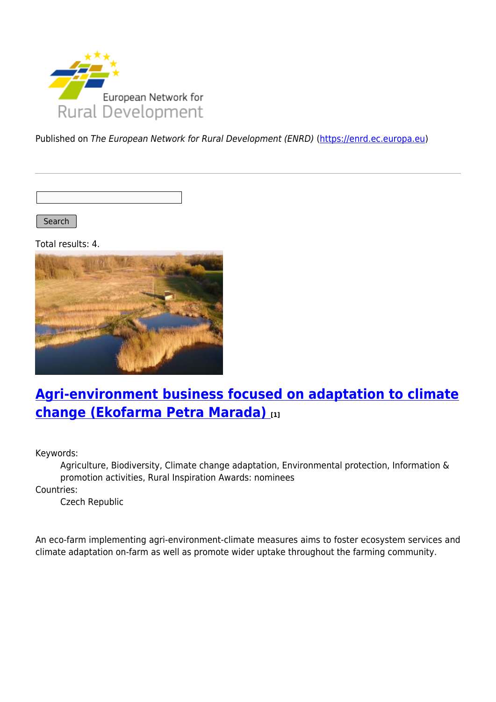

Published on The European Network for Rural Development (ENRD) [\(https://enrd.ec.europa.eu](https://enrd.ec.europa.eu))

Search

Total results: 4.



## **[Agri-environment business focused on adaptation to climate](https://enrd.ec.europa.eu/projects-practice/agri-environment-business-focused-adaptation-climate-change-ekofarma-petra-marada_en) [change \(Ekofarma Petra Marada\)](https://enrd.ec.europa.eu/projects-practice/agri-environment-business-focused-adaptation-climate-change-ekofarma-petra-marada_en) [1]**

Keywords:

Agriculture, Biodiversity, Climate change adaptation, Environmental protection, Information & promotion activities, Rural Inspiration Awards: nominees

Countries:

Czech Republic

An eco-farm implementing agri-environment-climate measures aims to foster ecosystem services and climate adaptation on-farm as well as promote wider uptake throughout the farming community.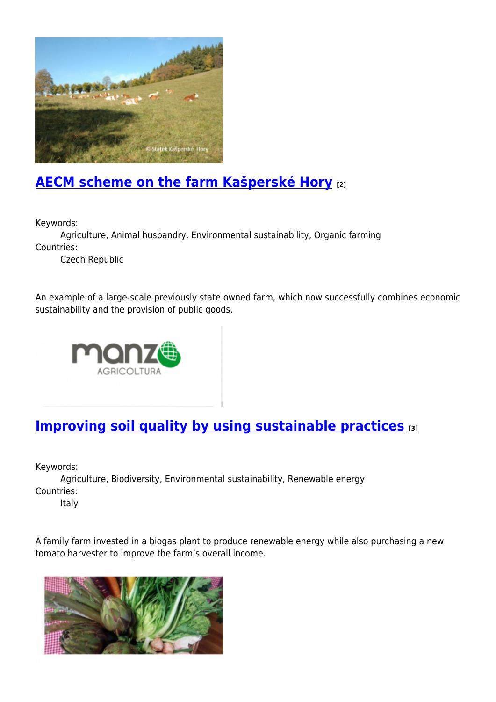

# **[AECM scheme on the farm Kašperské Hory](https://enrd.ec.europa.eu/projects-practice/aecm-scheme-farm-kasperske-hory_en) [2]**

Keywords:

Agriculture, Animal husbandry, Environmental sustainability, Organic farming Countries:

Czech Republic

An example of a large-scale previously state owned farm, which now successfully combines economic sustainability and the provision of public goods.



# **[Improving soil quality by using sustainable practices](https://enrd.ec.europa.eu/projects-practice/improving-soil-quality-using-sustainable-practices_en)** [3]

Keywords:

Agriculture, Biodiversity, Environmental sustainability, Renewable energy Countries:

Italy

A family farm invested in a biogas plant to produce renewable energy while also purchasing a new tomato harvester to improve the farm's overall income.